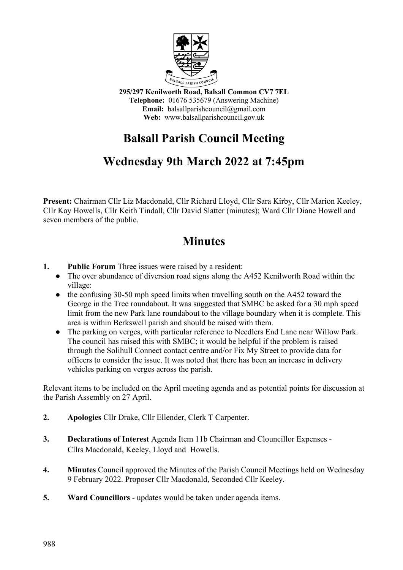

**295/297 Kenilworth Road, Balsall Common CV7 7EL Telephone:** 01676 535679 (Answering Machine) **Email:** balsallparishcouncil@gmail.com **Web:** www.balsallparishcouncil.gov.uk

# **Balsall Parish Council Meeting**

## **Wednesday 9th March 2022 at 7:45pm**

**Present:** Chairman Cllr Liz Macdonald, Cllr Richard Lloyd, Cllr Sara Kirby, Cllr Marion Keeley, Cllr Kay Howells, Cllr Keith Tindall, Cllr David Slatter (minutes); Ward Cllr Diane Howell and seven members of the public.

## **Minutes**

- **1. Public Forum** Three issues were raised by a resident:
	- The over abundance of diversion road signs along the A452 Kenilworth Road within the village:
	- the confusing 30-50 mph speed limits when travelling south on the A452 toward the George in the Tree roundabout. It was suggested that SMBC be asked for a 30 mph speed limit from the new Park lane roundabout to the village boundary when it is complete. This area is within Berkswell parish and should be raised with them.
	- The parking on verges, with particular reference to Needlers End Lane near Willow Park. The council has raised this with SMBC; it would be helpful if the problem is raised through the Solihull Connect contact centre and/or Fix My Street to provide data for officers to consider the issue. It was noted that there has been an increase in delivery vehicles parking on verges across the parish.

Relevant items to be included on the April meeting agenda and as potential points for discussion at the Parish Assembly on 27 April.

- **2. Apologies** Cllr Drake, Cllr Ellender, Clerk T Carpenter.
- **3. Declarations of Interest** Agenda Item 11b Chairman and Clouncillor Expenses Cllrs Macdonald, Keeley, Lloyd and Howells.
- **4. Minutes** Council approved the Minutes of the Parish Council Meetings held on Wednesday 9 February 2022. Proposer Cllr Macdonald, Seconded Cllr Keeley.
- **5. Ward Councillors** updates would be taken under agenda items.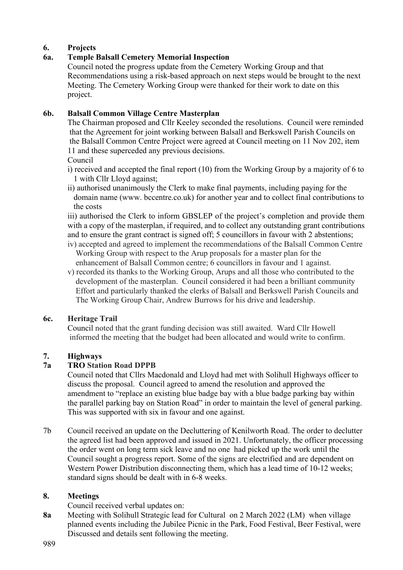## **6. Projects**

## **6a. Temple Balsall Cemetery Memorial Inspection**

Council noted the progress update from the Cemetery Working Group and that Recommendations using a risk-based approach on next steps would be brought to the next Meeting. The Cemetery Working Group were thanked for their work to date on this project.

### **6b. Balsall Common Village Centre Masterplan**

 The Chairman proposed and Cllr Keeley seconded the resolutions. Council were reminded that the Agreement for joint working between Balsall and Berkswell Parish Councils on the Balsall Common Centre Project were agreed at Council meeting on 11 Nov 202, item 11 and these superceded any previous decisions.

Council

- i) received and accepted the final report (10) from the Working Group by a majority of 6 to 1 with Cllr Lloyd against;
- ii) authorised unanimously the Clerk to make final payments, including paying for the domain name (www. bccentre.co.uk) for another year and to collect final contributions to the costs

iii) authorised the Clerk to inform GBSLEP of the project's completion and provide them with a copy of the masterplan, if required, and to collect any outstanding grant contributions and to ensure the grant contract is signed off; 5 councillors in favour with 2 abstentions;

- iv) accepted and agreed to implement the recommendations of the Balsall Common Centre Working Group with respect to the Arup proposals for a master plan for the enhancement of Balsall Common centre; 6 councillors in favour and 1 against.
- v) recorded its thanks to the Working Group, Arups and all those who contributed to the development of the masterplan. Council considered it had been a brilliant community Effort and particularly thanked the clerks of Balsall and Berkswell Parish Councils and The Working Group Chair, Andrew Burrows for his drive and leadership.

## **6c. Heritage Trail**

Council noted that the grant funding decision was still awaited. Ward Cllr Howell informed the meeting that the budget had been allocated and would write to confirm.

## **7. Highways**

## **7a TRO Station Road DPPB**

Council noted that Cllrs Macdonald and Lloyd had met with Solihull Highways officer to discuss the proposal. Council agreed to amend the resolution and approved the amendment to "replace an existing blue badge bay with a blue badge parking bay within the parallel parking bay on Station Road" in order to maintain the level of general parking. This was supported with six in favour and one against.

7b Council received an update on the Decluttering of Kenilworth Road. The order to declutter the agreed list had been approved and issued in 2021. Unfortunately, the officer processing the order went on long term sick leave and no one had picked up the work until the Council sought a progress report. Some of the signs are electrified and are dependent on Western Power Distribution disconnecting them, which has a lead time of 10-12 weeks; standard signs should be dealt with in 6-8 weeks.

## **8. Meetings**

- Council received verbal updates on:
- **8a** Meeting with Solihull Strategic lead for Cultural on 2 March 2022 (LM) when village planned events including the Jubilee Picnic in the Park, Food Festival, Beer Festival, were Discussed and details sent following the meeting.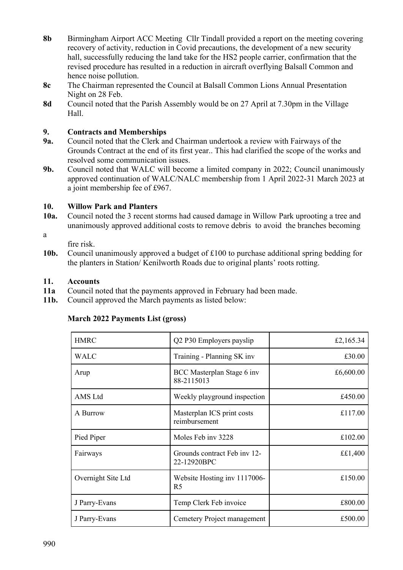- **8b** Birmingham Airport ACC MeetingCllr Tindall provided a report on the meeting covering recovery of activity, reduction in Covid precautions, the development of a new security hall, successfully reducing the land take for the HS2 people carrier, confirmation that the revised procedure has resulted in a reduction in aircraft overflying Balsall Common and hence noise pollution.
- **8c** The Chairman represented the Council at Balsall Common Lions Annual Presentation Night on 28 Feb.
- **8d** Council noted that the Parish Assembly would be on 27 April at 7.30pm in the Village Hall.

#### **9. Contracts and Memberships**

- **9a.** Council noted that the Clerk and Chairman undertook a review with Fairways of the Grounds Contract at the end of its first year.. This had clarified the scope of the works and resolved some communication issues.
- **9b.** Council noted that WALC will become a limited company in 2022; Council unanimously approved continuation of WALC/NALC membership from 1 April 2022-31 March 2023 at a joint membership fee of £967.

#### **10. Willow Park and Planters**

**10a.** Council noted the 3 recent storms had caused damage in Willow Park uprooting a tree and unanimously approved additional costs to remove debris to avoid the branches becoming

a

fire risk.

**10b.** Council unanimously approved a budget of £100 to purchase additional spring bedding for the planters in Station/ Kenilworth Roads due to original plants' roots rotting.

#### **11. Accounts**

- **11a** Council noted that the payments approved in February had been made.
- **11b.** Council approved the March payments as listed below:

| <b>HMRC</b>        | Q2 P30 Employers payslip                       | £2,165.34 |
|--------------------|------------------------------------------------|-----------|
| <b>WALC</b>        | Training - Planning SK inv                     | £30.00    |
| Arup               | BCC Masterplan Stage 6 inv<br>88-2115013       | £6,600.00 |
| AMS Ltd            | Weekly playground inspection                   | £450.00   |
| A Burrow           | Masterplan ICS print costs<br>reimbursement    | £117.00   |
| Pied Piper         | Moles Feb inv 3228                             | £102.00   |
| Fairways           | Grounds contract Feb inv 12-<br>22-12920BPC    | ££1,400   |
| Overnight Site Ltd | Website Hosting inv 1117006-<br>R <sub>5</sub> | £150.00   |
| J Parry-Evans      | Temp Clerk Feb invoice                         | £800.00   |
| J Parry-Evans      | Cemetery Project management                    | £500.00   |

#### **March 2022 Payments List (gross)**